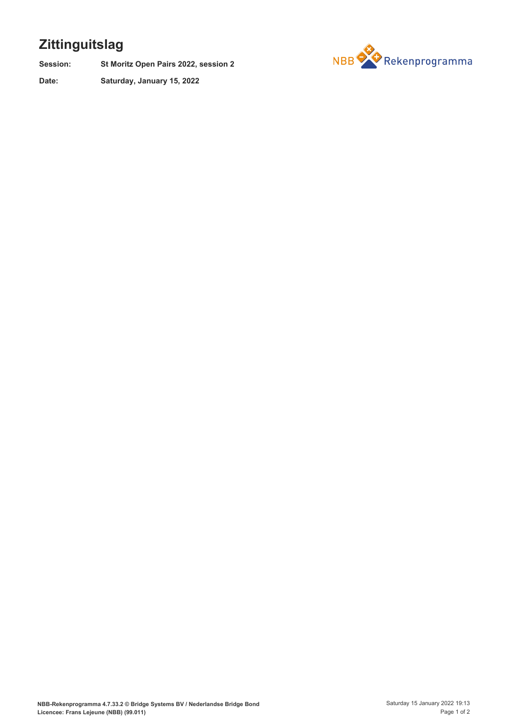## **Zittinguitslag**

**St Moritz Open Pairs 2022, session 2 Session:**

**Saturday, January 15, 2022 Date:**